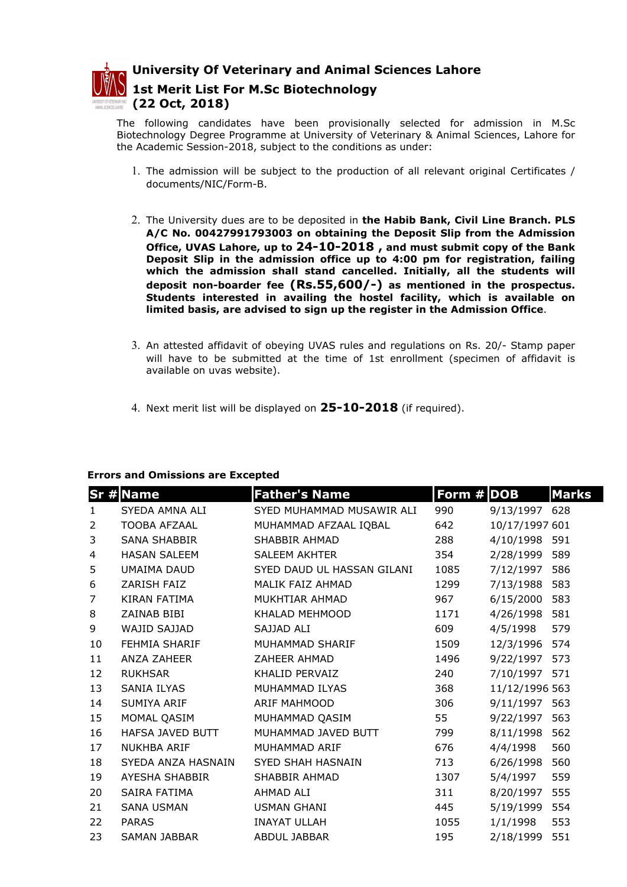

University Of Veterinary and Animal Sciences Lahore 1st Merit List For M.Sc Biotechnology (22 Oct, 2018)

The following candidates have been provisionally selected for admission in M.Sc Biotechnology Degree Programme at University of Veterinary & Animal Sciences, Lahore for the Academic Session-2018, subject to the conditions as under:

- 1. The admission will be subject to the production of all relevant original Certificates / documents/NIC/Form-B.
- 2. The University dues are to be deposited in the Habib Bank, Civil Line Branch. PLS A/C No. 00427991793003 on obtaining the Deposit Slip from the Admission Office, UVAS Lahore, up to 24-10-2018 , and must submit copy of the Bank Deposit Slip in the admission office up to 4:00 pm for registration, failing which the admission shall stand cancelled. Initially, all the students will deposit non-boarder fee (Rs.55,600/-) as mentioned in the prospectus. Students interested in availing the hostel facility, which is available on limited basis, are advised to sign up the register in the Admission Office.
- 3. An attested affidavit of obeying UVAS rules and regulations on Rs. 20/- Stamp paper will have to be submitted at the time of 1st enrollment (specimen of affidavit is available on uvas website).
- 4. Next merit list will be displayed on  $25-10-2018$  (if required).

## Errors and Omissions are Excepted

|                | <b>Sr # Name</b>    | <b>Father's Name</b>       | Form # DOB |                | <b>Marks</b> |
|----------------|---------------------|----------------------------|------------|----------------|--------------|
| $\mathbf{1}$   | SYEDA AMNA ALI      | SYED MUHAMMAD MUSAWIR ALI  | 990        | 9/13/1997      | 628          |
| 2              | <b>TOOBA AFZAAL</b> | MUHAMMAD AFZAAL IQBAL      | 642        | 10/17/1997 601 |              |
| 3              | SANA SHABBIR        | SHABBIR AHMAD              | 288        | 4/10/1998      | 591          |
| 4              | <b>HASAN SALEEM</b> | <b>SALEEM AKHTER</b>       | 354        | 2/28/1999      | 589          |
| 5              | UMAIMA DAUD         | SYED DAUD UL HASSAN GILANI | 1085       | 7/12/1997      | 586          |
| 6              | ZARISH FAIZ         | MALIK FAIZ AHMAD           | 1299       | 7/13/1988      | 583          |
| $\overline{7}$ | KIRAN FATIMA        | MUKHTIAR AHMAD             | 967        | 6/15/2000      | 583          |
| 8              | ZAINAB BIBI         | KHALAD MEHMOOD             | 1171       | 4/26/1998      | 581          |
| 9              | WAJID SAJJAD        | SAJJAD ALI                 | 609        | 4/5/1998       | 579          |
| 10             | FEHMIA SHARIF       | MUHAMMAD SHARIF            | 1509       | 12/3/1996      | 574          |
| 11             | ANZA ZAHEER         | ZAHEER AHMAD               | 1496       | 9/22/1997      | 573          |
| 12             | <b>RUKHSAR</b>      | KHALID PERVAIZ             | 240        | 7/10/1997 571  |              |
| 13             | <b>SANIA ILYAS</b>  | MUHAMMAD ILYAS             | 368        | 11/12/1996 563 |              |
| 14             | SUMIYA ARIF         | <b>ARIF MAHMOOD</b>        | 306        | 9/11/1997      | 563          |
| 15             | MOMAL QASIM         | MUHAMMAD QASIM             | 55         | 9/22/1997      | 563          |
| 16             | HAFSA JAVED BUTT    | MUHAMMAD JAVED BUTT        | 799        | 8/11/1998      | 562          |
| 17             | <b>NUKHBA ARIF</b>  | MUHAMMAD ARIF              | 676        | 4/4/1998       | 560          |
| 18             | SYEDA ANZA HASNAIN  | <b>SYED SHAH HASNAIN</b>   | 713        | 6/26/1998      | 560          |
| 19             | AYESHA SHABBIR      | SHABBIR AHMAD              | 1307       | 5/4/1997       | 559          |
| 20             | SAIRA FATIMA        | AHMAD ALI                  | 311        | 8/20/1997      | 555          |
| 21             | <b>SANA USMAN</b>   | <b>USMAN GHANI</b>         | 445        | 5/19/1999      | 554          |
| 22             | <b>PARAS</b>        | <b>INAYAT ULLAH</b>        | 1055       | 1/1/1998       | 553          |
| 23             | <b>SAMAN JABBAR</b> | ABDUL JABBAR               | 195        | 2/18/1999      | 551          |